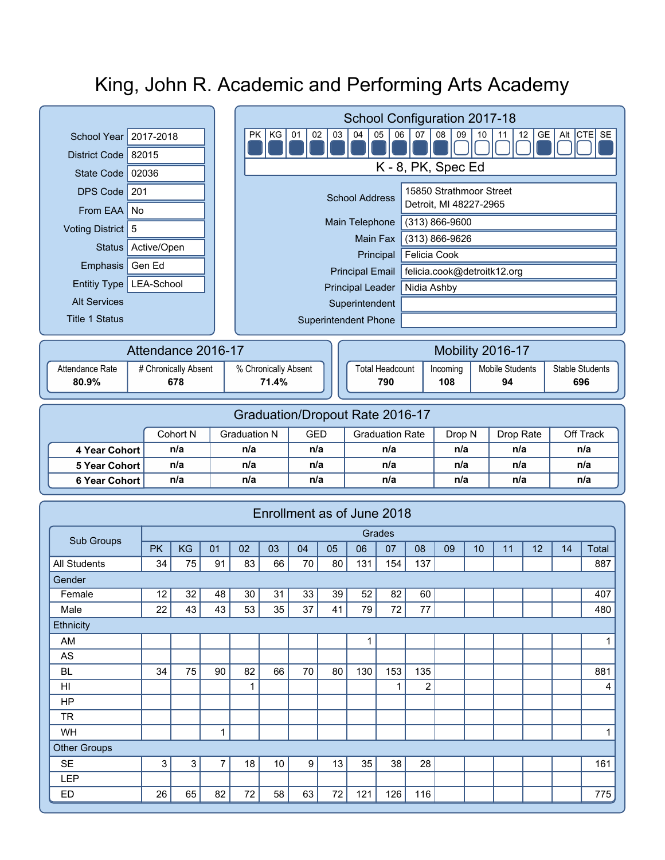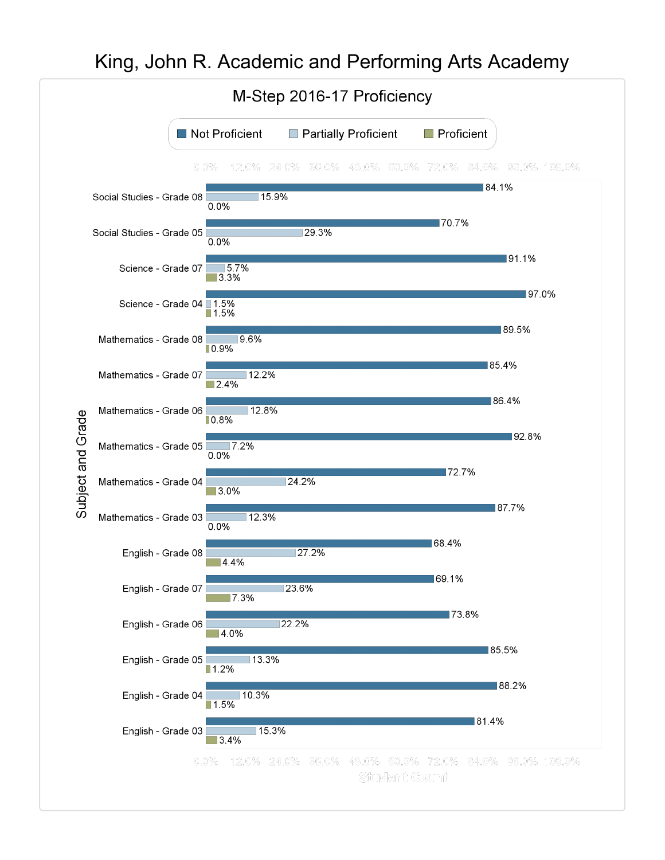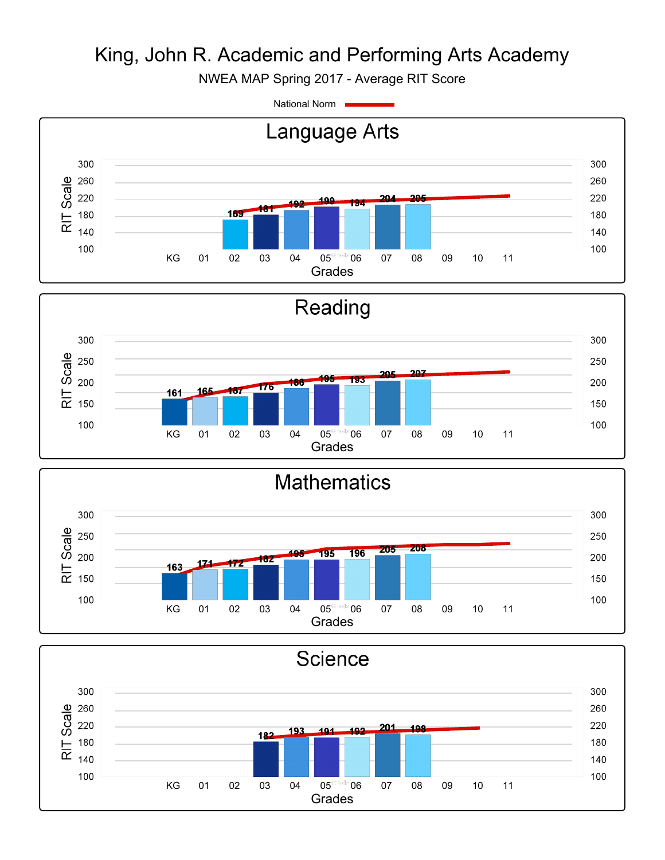NWEA MAP Spring 2017 - Average RIT Score